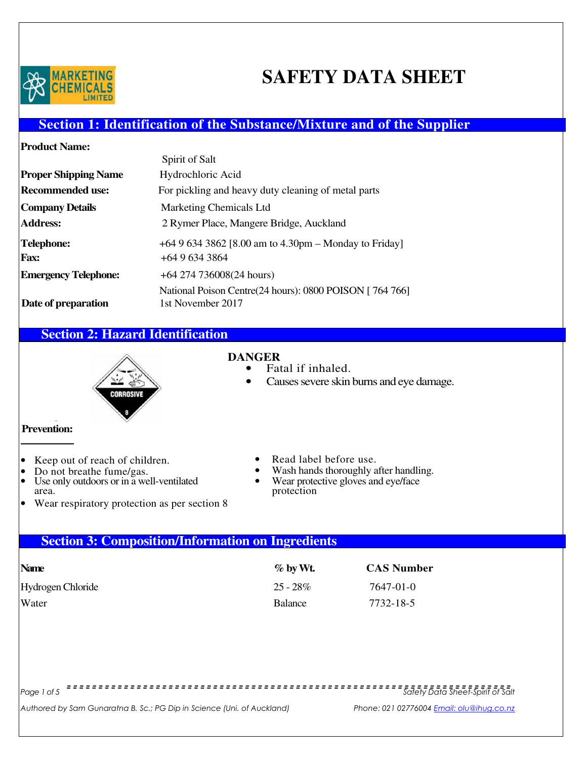

# **SAFETY DATA SHEET**

# **Section 1: Identification of the Substance/Mixture and of the Supplier**

| Spirit of Salt                                                               |
|------------------------------------------------------------------------------|
| Hydrochloric Acid                                                            |
| For pickling and heavy duty cleaning of metal parts                          |
| <b>Marketing Chemicals Ltd</b>                                               |
| 2 Rymer Place, Mangere Bridge, Auckland                                      |
| $+6496343862$ [8.00 am to 4.30pm – Monday to Friday]                         |
| $+6496343864$                                                                |
| $+64$ 274 736008(24 hours)                                                   |
| National Poison Centre(24 hours): 0800 POISON [764 766]<br>1st November 2017 |
|                                                                              |

# **Section 2: Hazard Identification**



- **DANGER** Fatal if inhaled.
	- Causes severe skin burns and eye damage.

### **Prevention:**

- Keep out of reach of children.<br>• Do not breathe fume/gas.
- Use only outdoors or in a well-ventilated area.
- Wear respiratory protection as per section 8
- Read label before use.
- Wash hands thoroughly after handling.<br>Wear protective gloves and every face
- Wear protective gloves and eye/face protection

# **Section 3: Composition/Information on Ingredients**

| <b>Name</b>       | $\%$ by Wt.    | <b>CAS Number</b> |
|-------------------|----------------|-------------------|
| Hydrogen Chloride | $25 - 28\%$    | 7647-01-0         |
| Water             | <b>Balance</b> | 7732-18-5         |

Page 1 of 5 Safety Data Sheet-Spirit of Salt

Authored by Sam Gunaratna B. Sc.; PG Dip in Science (Uni. of Auckland) Phone: 021 02776004 Email: olu@ihug.co.nz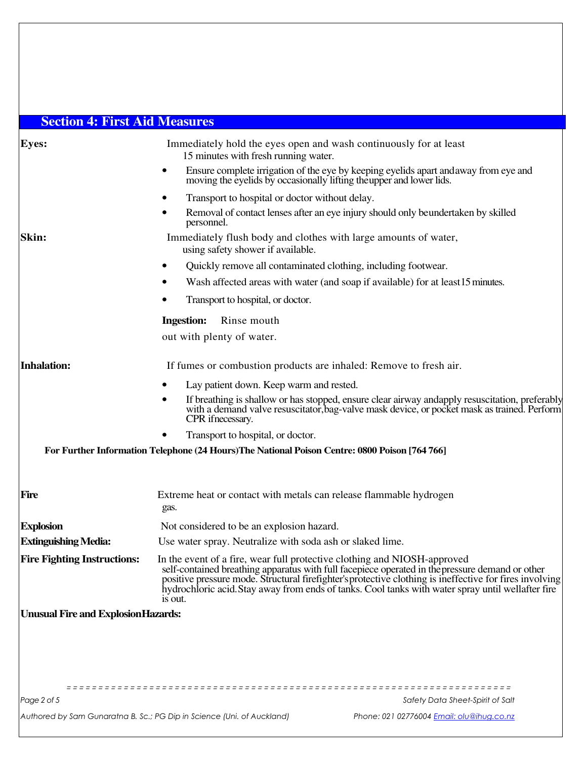# **Section 4: First Aid Measures**

| <b>Eyes:</b>                               | 15 minutes with fresh running water.                                                                 | Immediately hold the eyes open and wash continuously for at least                                                                                                                                                                                                                                               |
|--------------------------------------------|------------------------------------------------------------------------------------------------------|-----------------------------------------------------------------------------------------------------------------------------------------------------------------------------------------------------------------------------------------------------------------------------------------------------------------|
|                                            | $\bullet$                                                                                            | Ensure complete irrigation of the eye by keeping eyelids apart and away from eye and<br>moving the eyelids by occasionally lifting the upper and lower lids.                                                                                                                                                    |
|                                            | Transport to hospital or doctor without delay.<br>٠                                                  |                                                                                                                                                                                                                                                                                                                 |
|                                            | ٠<br>personnel.                                                                                      | Removal of contact lenses after an eye injury should only beundertaken by skilled                                                                                                                                                                                                                               |
| Skin:                                      | Immediately flush body and clothes with large amounts of water,<br>using safety shower if available. |                                                                                                                                                                                                                                                                                                                 |
|                                            | $\bullet$                                                                                            | Quickly remove all contaminated clothing, including footwear.                                                                                                                                                                                                                                                   |
|                                            |                                                                                                      | Wash affected areas with water (and soap if available) for at least 15 minutes.                                                                                                                                                                                                                                 |
|                                            | Transport to hospital, or doctor.                                                                    |                                                                                                                                                                                                                                                                                                                 |
|                                            | <b>Ingestion:</b><br>Rinse mouth                                                                     |                                                                                                                                                                                                                                                                                                                 |
|                                            | out with plenty of water.                                                                            |                                                                                                                                                                                                                                                                                                                 |
| <b>Inhalation:</b>                         | If fumes or combustion products are inhaled: Remove to fresh air.                                    |                                                                                                                                                                                                                                                                                                                 |
|                                            | Lay patient down. Keep warm and rested.                                                              |                                                                                                                                                                                                                                                                                                                 |
|                                            | $\bullet$<br>CPR if necessary.                                                                       | If breathing is shallow or has stopped, ensure clear airway and apply resuscitation, preferably<br>with a demand valve resuscitator, bag-valve mask device, or pocket mask as trained. Perform                                                                                                                  |
|                                            | Transport to hospital, or doctor.                                                                    |                                                                                                                                                                                                                                                                                                                 |
|                                            | For Further Information Telephone (24 Hours) The National Poison Centre: 0800 Poison [764 766]       |                                                                                                                                                                                                                                                                                                                 |
| Fire                                       | Extreme heat or contact with metals can release flammable hydrogen<br>gas.                           |                                                                                                                                                                                                                                                                                                                 |
| <b>Explosion</b>                           | Not considered to be an explosion hazard.                                                            |                                                                                                                                                                                                                                                                                                                 |
| <b>Extinguishing Media:</b>                | Use water spray. Neutralize with soda ash or slaked lime.                                            |                                                                                                                                                                                                                                                                                                                 |
| <b>Fire Fighting Instructions:</b>         | In the event of a fire, wear full protective clothing and NIOSH-approved<br>is out.                  | self-contained breathing apparatus with full facepiece operated in the pressure demand or other<br>positive pressure mode. Structural firefighter's protective clothing is ineffective for fires involving<br>hydrochloric acid. Stay away from ends of tanks. Cool tanks with water spray until wellafter fire |
| <b>Unusual Fire and Explosion Hazards:</b> |                                                                                                      |                                                                                                                                                                                                                                                                                                                 |
|                                            |                                                                                                      |                                                                                                                                                                                                                                                                                                                 |
|                                            |                                                                                                      |                                                                                                                                                                                                                                                                                                                 |
|                                            |                                                                                                      |                                                                                                                                                                                                                                                                                                                 |
|                                            |                                                                                                      |                                                                                                                                                                                                                                                                                                                 |
| Page 2 of 5                                |                                                                                                      | Safety Data Sheet-Spirit of Salt                                                                                                                                                                                                                                                                                |
|                                            | Authored by Sam Gunaratna B. Sc.; PG Dip in Science (Uni. of Auckland)                               | Phone: 021 02776004 Email: olu@ihug.co.nz                                                                                                                                                                                                                                                                       |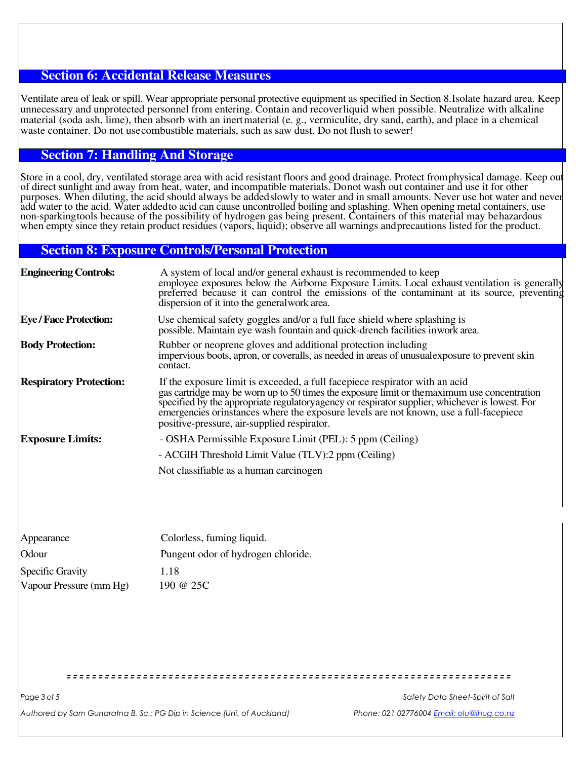#### **Section 6: Accidental Release Measures**

Ventilate area of leak or spill. Wear appropriate personal protective equipment as specified in Section 8.Isolate hazard area. Keep unnecessary and unprotected personnel from entering. Contain and recoverliquid when possible. Neutralize with alkaline material (soda ash, lime), then absorb with an inertmaterial (e. g., vermiculite, dry sand, earth), and place in a chemical waste container. Do not usecombustible materials, such as saw dust. Do not flush to sewer!

#### **Section 7: Handling And Storage**

Store in a cool, dry, ventilated storage area with acid resistant floors and good drainage. Protect fromphysical damage. Keep out of direct sunlight and away from heat, water, and incompatible materials. Donot wash out container and use it for other purposes. When diluting, the acid should always be addedslowly to water and in small amounts. Never use hot water and never add water to the acid. Water added to acid can cause uncontrolled boiling and splashing. When opening metal containers, use non-sparkingtools because of the possibility of hydrogen gas being present. Containers of this material may behazardous when empty since they retain product residues (vapors, liquid); observe all warnings and precautions listed for the product.

#### **Section 8: Exposure Controls/Personal Protection**

| <b>Engineering Controls:</b>   | A system of local and/or general exhaust is recommended to keep<br>employee exposures below the Airborne Exposure Limits. Local exhaust ventilation is generally<br>preferred because it can control the emissions of the contaminant at its source, preventing<br>dispersion of it into the general work area.                                                                                                        |
|--------------------------------|------------------------------------------------------------------------------------------------------------------------------------------------------------------------------------------------------------------------------------------------------------------------------------------------------------------------------------------------------------------------------------------------------------------------|
| <b>Eye / Face Protection:</b>  | Use chemical safety goggles and/or a full face shield where splashing is<br>possible. Maintain eye wash fountain and quick-drench facilities inwork area.                                                                                                                                                                                                                                                              |
| <b>Body Protection:</b>        | Rubber or neoprene gloves and additional protection including<br>impervious boots, apron, or coveralls, as needed in areas of unusual exposure to prevent skin<br>contact.                                                                                                                                                                                                                                             |
| <b>Respiratory Protection:</b> | If the exposure limit is exceeded, a full facepiece respirator with an acid<br>gas cartridge may be worn up to 50 times the exposure limit or the maximum use concentration<br>specified by the appropriate regulatory agency or respirator supplier, whichever is lowest. For<br>emergencies orinstances where the exposure levels are not known, use a full-facepiece<br>positive-pressure, air-supplied respirator. |
| <b>Exposure Limits:</b>        | - OSHA Permissible Exposure Limit (PEL): 5 ppm (Ceiling)                                                                                                                                                                                                                                                                                                                                                               |
|                                | - ACGIH Threshold Limit Value (TLV):2 ppm (Ceiling)                                                                                                                                                                                                                                                                                                                                                                    |
|                                | Not classifiable as a human carcinogen                                                                                                                                                                                                                                                                                                                                                                                 |
| Appearance                     | Colorless, fuming liquid.                                                                                                                                                                                                                                                                                                                                                                                              |
| Odour                          | Pungent odor of hydrogen chloride.                                                                                                                                                                                                                                                                                                                                                                                     |
| <b>Specific Gravity</b>        | 1.18                                                                                                                                                                                                                                                                                                                                                                                                                   |
| Vapour Pressure (mm Hg)        | 190 @ 25C                                                                                                                                                                                                                                                                                                                                                                                                              |
|                                |                                                                                                                                                                                                                                                                                                                                                                                                                        |
|                                |                                                                                                                                                                                                                                                                                                                                                                                                                        |
|                                |                                                                                                                                                                                                                                                                                                                                                                                                                        |
|                                |                                                                                                                                                                                                                                                                                                                                                                                                                        |
|                                |                                                                                                                                                                                                                                                                                                                                                                                                                        |

Authored by Sam Gunaratna B. Sc.; PG Dip in Science (Uni. of Auckland) Phone: 021 02776004 <u>Email: olu@ihug.co.nz</u>

Page 3 of 5 Safety Data Sheet-Spirit of Salt Safety Data Sheet-Spirit of Salt Safety Data Sheet-Spirit of Salt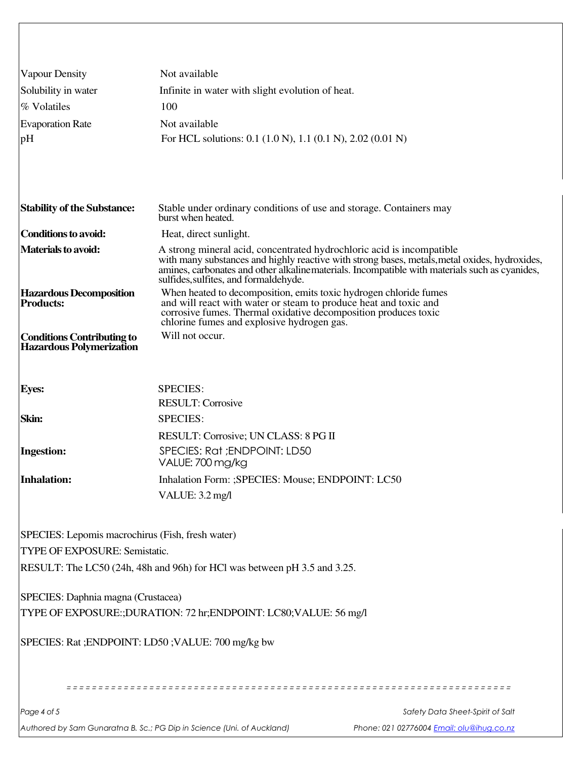| Vapour Density                                                                    | Not available                                                                                                                                                                                                                                                                                                      |
|-----------------------------------------------------------------------------------|--------------------------------------------------------------------------------------------------------------------------------------------------------------------------------------------------------------------------------------------------------------------------------------------------------------------|
| Solubility in water                                                               | Infinite in water with slight evolution of heat.                                                                                                                                                                                                                                                                   |
| % Volatiles                                                                       | 100                                                                                                                                                                                                                                                                                                                |
| <b>Evaporation Rate</b>                                                           | Not available                                                                                                                                                                                                                                                                                                      |
| pH                                                                                | For HCL solutions: 0.1 (1.0 N), 1.1 (0.1 N), 2.02 (0.01 N)                                                                                                                                                                                                                                                         |
|                                                                                   |                                                                                                                                                                                                                                                                                                                    |
| <b>Stability of the Substance:</b>                                                | Stable under ordinary conditions of use and storage. Containers may<br>burst when heated.                                                                                                                                                                                                                          |
| <b>Conditions to avoid:</b>                                                       | Heat, direct sunlight.                                                                                                                                                                                                                                                                                             |
| <b>Materials to avoid:</b>                                                        | A strong mineral acid, concentrated hydrochloric acid is incompatible.<br>with many substances and highly reactive with strong bases, metals, metal oxides, hydroxides,<br>amines, carbonates and other alkaline materials. Incompatible with materials such as cyanides,<br>sulfides, sulfites, and formaldehyde. |
| <b>Hazardous Decomposition</b><br><b>Products:</b>                                | When heated to decomposition, emits toxic hydrogen chloride fumes<br>and will react with water or steam to produce heat and toxic and<br>corrosive fumes. Thermal oxidative decomposition produces toxic<br>chlorine fumes and explosive hydrogen gas.                                                             |
| <b>Conditions Contributing to</b><br><b>Hazardous Polymerization</b>              | Will not occur.                                                                                                                                                                                                                                                                                                    |
| <b>Eyes:</b>                                                                      | <b>SPECIES:</b><br><b>RESULT: Corrosive</b>                                                                                                                                                                                                                                                                        |
| Skin:                                                                             | <b>SPECIES:</b>                                                                                                                                                                                                                                                                                                    |
|                                                                                   | RESULT: Corrosive; UN CLASS: 8 PG II                                                                                                                                                                                                                                                                               |
| <b>Ingestion:</b>                                                                 | SPECIES: Rat ; ENDPOINT: LD50<br>VALUE: 700 mg/kg                                                                                                                                                                                                                                                                  |
| Inhalation:                                                                       | Inhalation Form: ;SPECIES: Mouse; ENDPOINT: LC50                                                                                                                                                                                                                                                                   |
|                                                                                   | VALUE: 3.2 mg/l                                                                                                                                                                                                                                                                                                    |
| SPECIES: Lepomis macrochirus (Fish, fresh water)<br>TYPE OF EXPOSURE: Semistatic. | RESULT: The LC50 (24h, 48h and 96h) for HCl was between pH 3.5 and 3.25.                                                                                                                                                                                                                                           |
|                                                                                   |                                                                                                                                                                                                                                                                                                                    |
| SPECIES: Daphnia magna (Crustacea)                                                | TYPE OF EXPOSURE:;DURATION: 72 hr;ENDPOINT: LC80;VALUE: 56 mg/l                                                                                                                                                                                                                                                    |
|                                                                                   | SPECIES: Rat ; ENDPOINT: LD50 ; VALUE: 700 mg/kg bw                                                                                                                                                                                                                                                                |
|                                                                                   |                                                                                                                                                                                                                                                                                                                    |
| Page 4 of 5                                                                       | Safety Data Sheet-Spirit of Salt                                                                                                                                                                                                                                                                                   |
|                                                                                   |                                                                                                                                                                                                                                                                                                                    |

Authored by Sam Gunaratna B. Sc.; PG Dip in Science (Uni. of Auckland) Phone: 021 02776004 Email: olu@ihug.co.nz